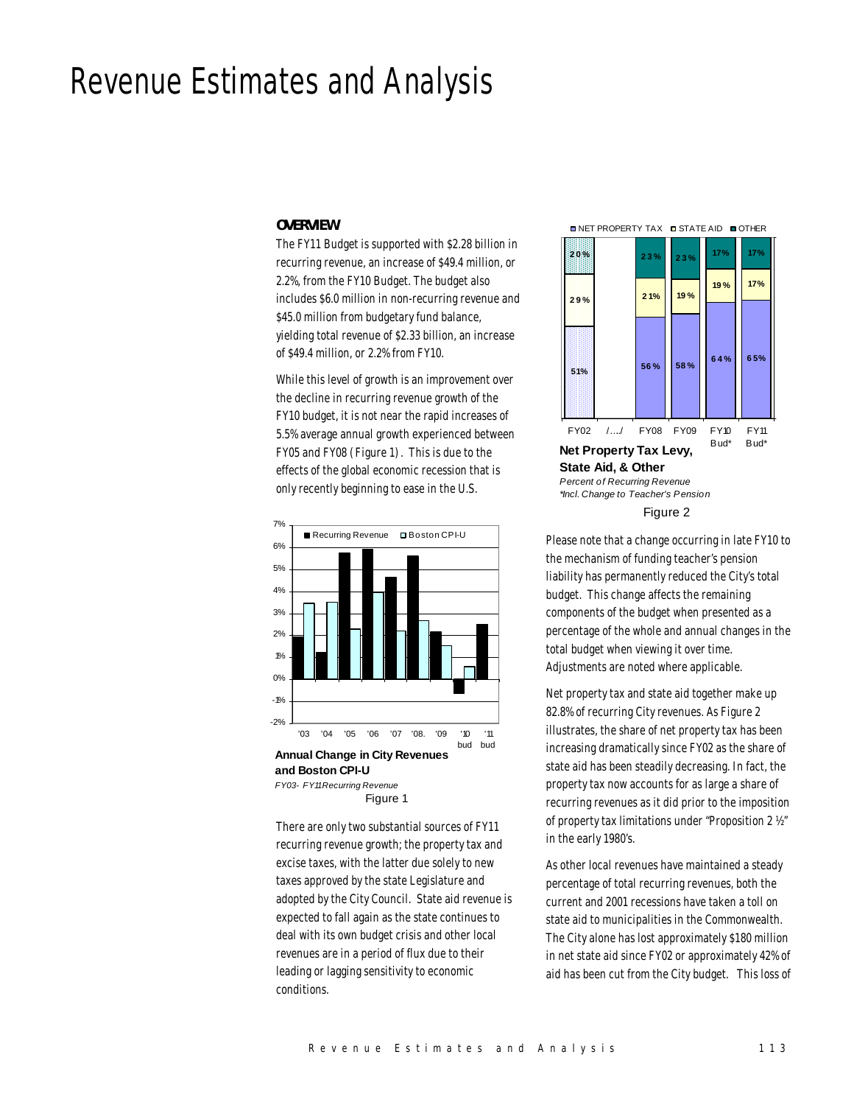# Revenue Estimates and Analysis

#### *OVERVIEW*

The FY11 Budget is supported with \$2.28 billion in recurring revenue, an increase of \$49.4 million, or 2.2%, from the FY10 Budget. The budget also includes \$6.0 million in non-recurring revenue and \$45.0 million from budgetary fund balance, yielding total revenue of \$2.33 billion, an increase of \$49.4 million, or 2.2% from FY10.

While this level of growth is an improvement over the decline in recurring revenue growth of the FY10 budget, it is not near the rapid increases of 5.5% average annual growth experienced between FY05 and FY08 (Figure 1). This is due to the effects of the global economic recession that is only recently beginning to ease in the U.S.



There are only two substantial sources of FY11 recurring revenue growth; the property tax and excise taxes, with the latter due solely to new taxes approved by the state Legislature and adopted by the City Council. State aid revenue is expected to fall again as the state continues to deal with its own budget crisis and other local revenues are in a period of flux due to their leading or lagging sensitivity to economic conditions.

**■ NET PROPERTY TAX ■ STATE AID ■ OTHER** 



Figure 2

Please note that a change occurring in late FY10 to the mechanism of funding teacher's pension liability has permanently reduced the City's total budget. This change affects the remaining components of the budget when presented as a percentage of the whole and annual changes in the total budget when viewing it over time. Adjustments are noted where applicable.

Net property tax and state aid together make up 82.8% of recurring City revenues. As Figure 2 illustrates, the share of net property tax has been increasing dramatically since FY02 as the share of state aid has been steadily decreasing. In fact, the property tax now accounts for as large a share of recurring revenues as it did prior to the imposition of property tax limitations under "Proposition 2 ½" in the early 1980's.

As other local revenues have maintained a steady percentage of total recurring revenues, both the current and 2001 recessions have taken a toll on state aid to municipalities in the Commonwealth. The City alone has lost approximately \$180 million in net state aid since FY02 or approximately 42% of aid has been cut from the City budget. This loss of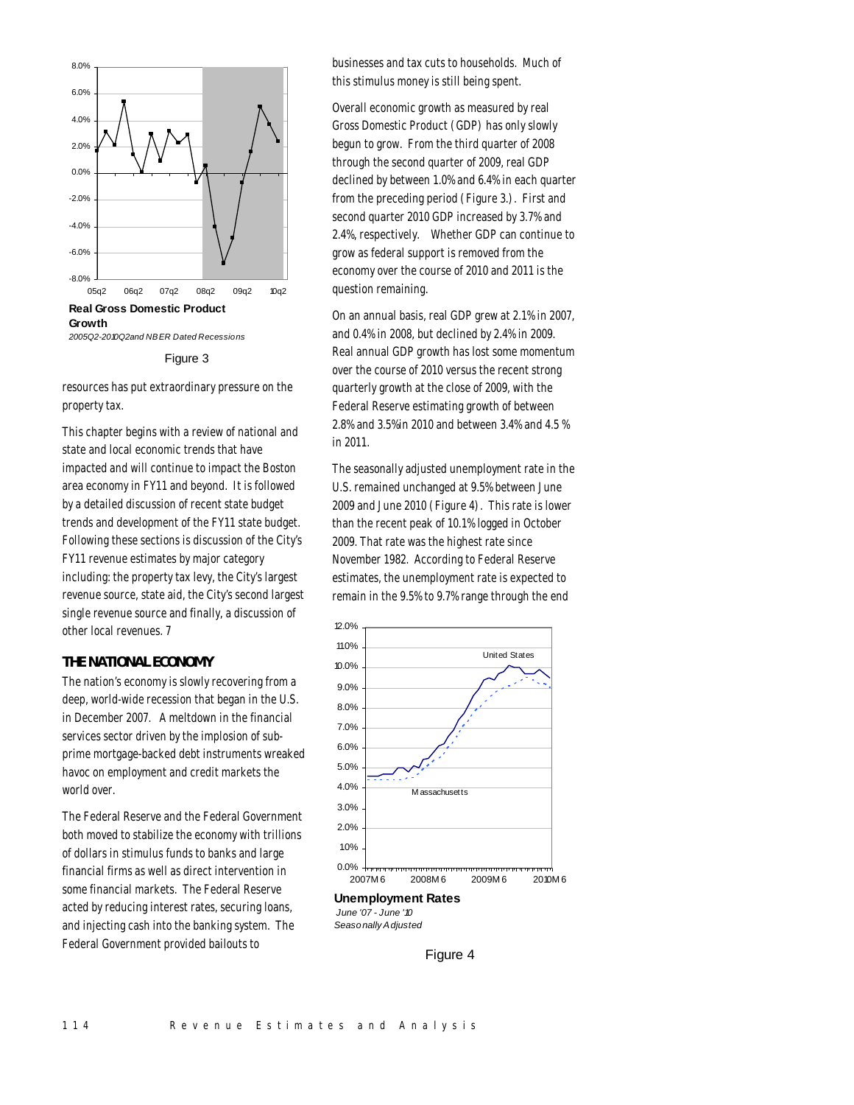



resources has put extraordinary pressure on the property tax.

This chapter begins with a review of national and state and local economic trends that have impacted and will continue to impact the Boston area economy in FY11 and beyond. It is followed by a detailed discussion of recent state budget trends and development of the FY11 state budget. Following these sections is discussion of the City's FY11 revenue estimates by major category including: the property tax levy, the City's largest revenue source, state aid, the City's second largest single revenue source and finally, a discussion of other local revenues. 7

# *THE NATIONAL ECONOMY*

The nation's economy is slowly recovering from a deep, world-wide recession that began in the U.S. in December 2007. A meltdown in the financial services sector driven by the implosion of subprime mortgage-backed debt instruments wreaked havoc on employment and credit markets the world over.

The Federal Reserve and the Federal Government both moved to stabilize the economy with trillions of dollars in stimulus funds to banks and large financial firms as well as direct intervention in some financial markets. The Federal Reserve acted by reducing interest rates, securing loans, and injecting cash into the banking system. The Federal Government provided bailouts to

businesses and tax cuts to households. Much of this stimulus money is still being spent.

Overall economic growth as measured by real Gross Domestic Product (GDP) has only slowly begun to grow. From the third quarter of 2008 through the second quarter of 2009, real GDP declined by between 1.0% and 6.4% in each quarter from the preceding period (Figure 3.). First and second quarter 2010 GDP increased by 3.7% and 2.4%, respectively. Whether GDP can continue to grow as federal support is removed from the economy over the course of 2010 and 2011 is the question remaining.

On an annual basis, real GDP grew at 2.1% in 2007, and 0.4% in 2008, but declined by 2.4% in 2009. Real annual GDP growth has lost some momentum over the course of 2010 versus the recent strong quarterly growth at the close of 2009, with the Federal Reserve estimating growth of between 2.8% and 3.5%in 2010 and between 3.4% and 4.5 % in 2011.

The seasonally adjusted unemployment rate in the U.S. remained unchanged at 9.5% between June 2009 and June 2010 (Figure 4). This rate is lower than the recent peak of 10.1% logged in October 2009. That rate was the highest rate since November 1982. According to Federal Reserve estimates, the unemployment rate is expected to remain in the 9.5% to 9.7% range through the end



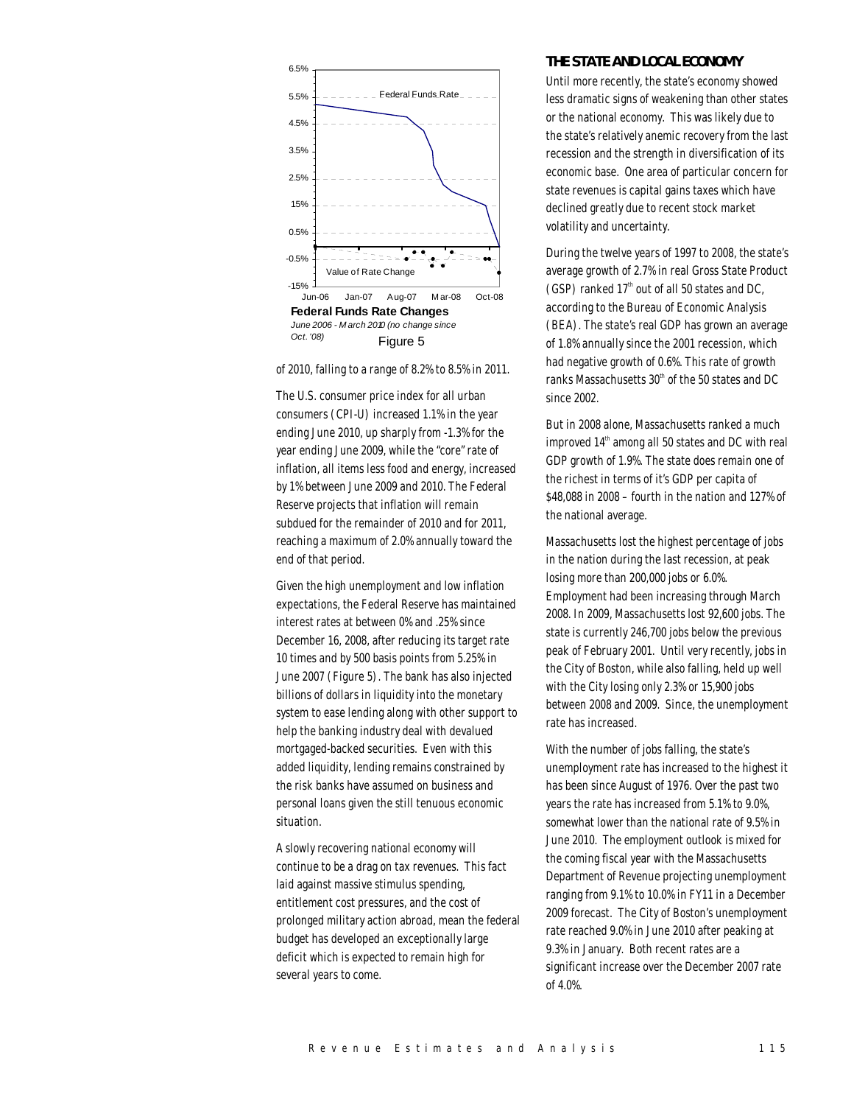

of 2010, falling to a range of 8.2% to 8.5% in 2011.

The U.S. consumer price index for all urban consumers (CPI-U) increased 1.1% in the year ending June 2010, up sharply from -1.3% for the year ending June 2009, while the "core" rate of inflation, all items less food and energy, increased by 1% between June 2009 and 2010. The Federal Reserve projects that inflation will remain subdued for the remainder of 2010 and for 2011, reaching a maximum of 2.0% annually toward the end of that period.

Given the high unemployment and low inflation expectations, the Federal Reserve has maintained interest rates at between 0% and .25% since December 16, 2008, after reducing its target rate 10 times and by 500 basis points from 5.25% in June 2007 (Figure 5). The bank has also injected billions of dollars in liquidity into the monetary system to ease lending along with other support to help the banking industry deal with devalued mortgaged-backed securities. Even with this added liquidity, lending remains constrained by the risk banks have assumed on business and personal loans given the still tenuous economic situation.

A slowly recovering national economy will continue to be a drag on tax revenues. This fact laid against massive stimulus spending, entitlement cost pressures, and the cost of prolonged military action abroad, mean the federal budget has developed an exceptionally large deficit which is expected to remain high for several years to come.

# *THE STATE AND LOCAL ECONOMY*

Until more recently, the state's economy showed less dramatic signs of weakening than other states or the national economy. This was likely due to the state's relatively anemic recovery from the last recession and the strength in diversification of its economic base. One area of particular concern for state revenues is capital gains taxes which have declined greatly due to recent stock market volatility and uncertainty.

During the twelve years of 1997 to 2008, the state's average growth of 2.7% in real Gross State Product (GSP) ranked  $17<sup>th</sup>$  out of all 50 states and DC, according to the Bureau of Economic Analysis (BEA). The state's real GDP has grown an average of 1.8% annually since the 2001 recession, which had negative growth of 0.6%. This rate of growth ranks Massachusetts  $30<sup>th</sup>$  of the 50 states and DC since 2002.

But in 2008 alone, Massachusetts ranked a much improved  $14<sup>th</sup>$  among all 50 states and DC with real GDP growth of 1.9%. The state does remain one of the richest in terms of it's GDP per capita of \$48,088 in 2008 – fourth in the nation and 127% of the national average.

Massachusetts lost the highest percentage of jobs in the nation during the last recession, at peak losing more than 200,000 jobs or 6.0%. Employment had been increasing through March 2008. In 2009, Massachusetts lost 92,600 jobs. The state is currently 246,700 jobs below the previous peak of February 2001. Until very recently, jobs in the City of Boston, while also falling, held up well with the City losing only 2.3% or 15,900 jobs between 2008 and 2009. Since, the unemployment rate has increased.

With the number of jobs falling, the state's unemployment rate has increased to the highest it has been since August of 1976. Over the past two years the rate has increased from 5.1% to 9.0%, somewhat lower than the national rate of 9.5% in June 2010. The employment outlook is mixed for the coming fiscal year with the Massachusetts Department of Revenue projecting unemployment ranging from 9.1% to 10.0% in FY11 in a December 2009 forecast. The City of Boston's unemployment rate reached 9.0% in June 2010 after peaking at 9.3% in January. Both recent rates are a significant increase over the December 2007 rate of 4.0%.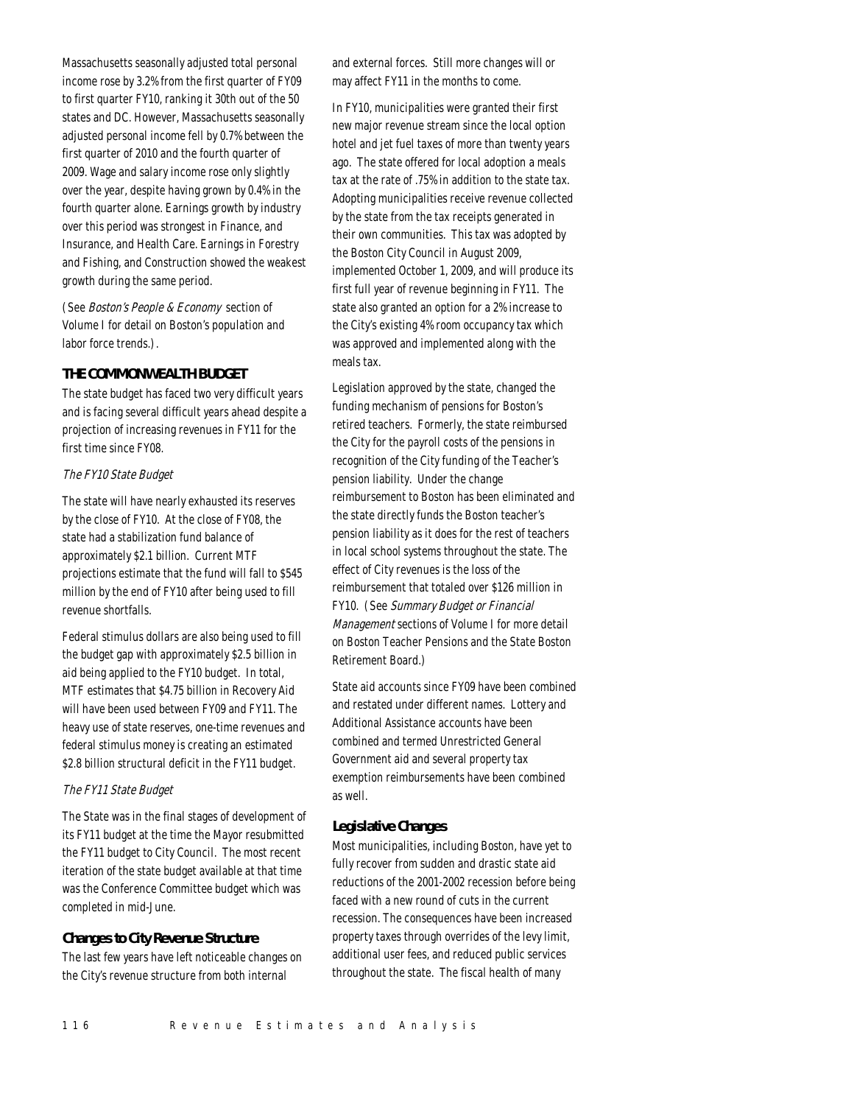Massachusetts seasonally adjusted total personal income rose by 3.2% from the first quarter of FY09 to first quarter FY10, ranking it 30th out of the 50 states and DC. However, Massachusetts seasonally adjusted personal income fell by 0.7% between the first quarter of 2010 and the fourth quarter of 2009. Wage and salary income rose only slightly over the year, despite having grown by 0.4% in the fourth quarter alone. Earnings growth by industry over this period was strongest in Finance, and Insurance, and Health Care. Earnings in Forestry and Fishing, and Construction showed the weakest growth during the same period.

(See Boston's People & Economy section of Volume I for detail on Boston's population and labor force trends.).

# *THE COMMONWEALTH BUDGET*

The state budget has faced two very difficult years and is facing several difficult years ahead despite a projection of increasing revenues in FY11 for the first time since FY08.

# The FY10 State Budget

The state will have nearly exhausted its reserves by the close of FY10. At the close of FY08, the state had a stabilization fund balance of approximately \$2.1 billion. Current MTF projections estimate that the fund will fall to \$545 million by the end of FY10 after being used to fill revenue shortfalls.

Federal stimulus dollars are also being used to fill the budget gap with approximately \$2.5 billion in aid being applied to the FY10 budget. In total, MTF estimates that \$4.75 billion in Recovery Aid will have been used between FY09 and FY11. The heavy use of state reserves, one-time revenues and federal stimulus money is creating an estimated \$2.8 billion structural deficit in the FY11 budget.

# The FY11 State Budget

The State was in the final stages of development of its FY11 budget at the time the Mayor resubmitted the FY11 budget to City Council. The most recent iteration of the state budget available at that time was the Conference Committee budget which was completed in mid-June.

# *Changes to City Revenue Structure*

The last few years have left noticeable changes on the City's revenue structure from both internal

and external forces. Still more changes will or may affect FY11 in the months to come.

In FY10, municipalities were granted their first new major revenue stream since the local option hotel and jet fuel taxes of more than twenty years ago. The state offered for local adoption a meals tax at the rate of .75% in addition to the state tax. Adopting municipalities receive revenue collected by the state from the tax receipts generated in their own communities. This tax was adopted by the Boston City Council in August 2009, implemented October 1, 2009, and will produce its first full year of revenue beginning in FY11. The state also granted an option for a 2% increase to the City's existing 4% room occupancy tax which was approved and implemented along with the meals tax.

Legislation approved by the state, changed the funding mechanism of pensions for Boston's retired teachers. Formerly, the state reimbursed the City for the payroll costs of the pensions in recognition of the City funding of the Teacher's pension liability. Under the change reimbursement to Boston has been eliminated and the state directly funds the Boston teacher's pension liability as it does for the rest of teachers in local school systems throughout the state. The effect of City revenues is the loss of the reimbursement that totaled over \$126 million in FY10. (See Summary Budget or Financial Management sections of Volume I for more detail on Boston Teacher Pensions and the State Boston Retirement Board.)

State aid accounts since FY09 have been combined and restated under different names. Lottery and Additional Assistance accounts have been combined and termed Unrestricted General Government aid and several property tax exemption reimbursements have been combined as well.

# *Legislative Changes*

Most municipalities, including Boston, have yet to fully recover from sudden and drastic state aid reductions of the 2001-2002 recession before being faced with a new round of cuts in the current recession. The consequences have been increased property taxes through overrides of the levy limit, additional user fees, and reduced public services throughout the state. The fiscal health of many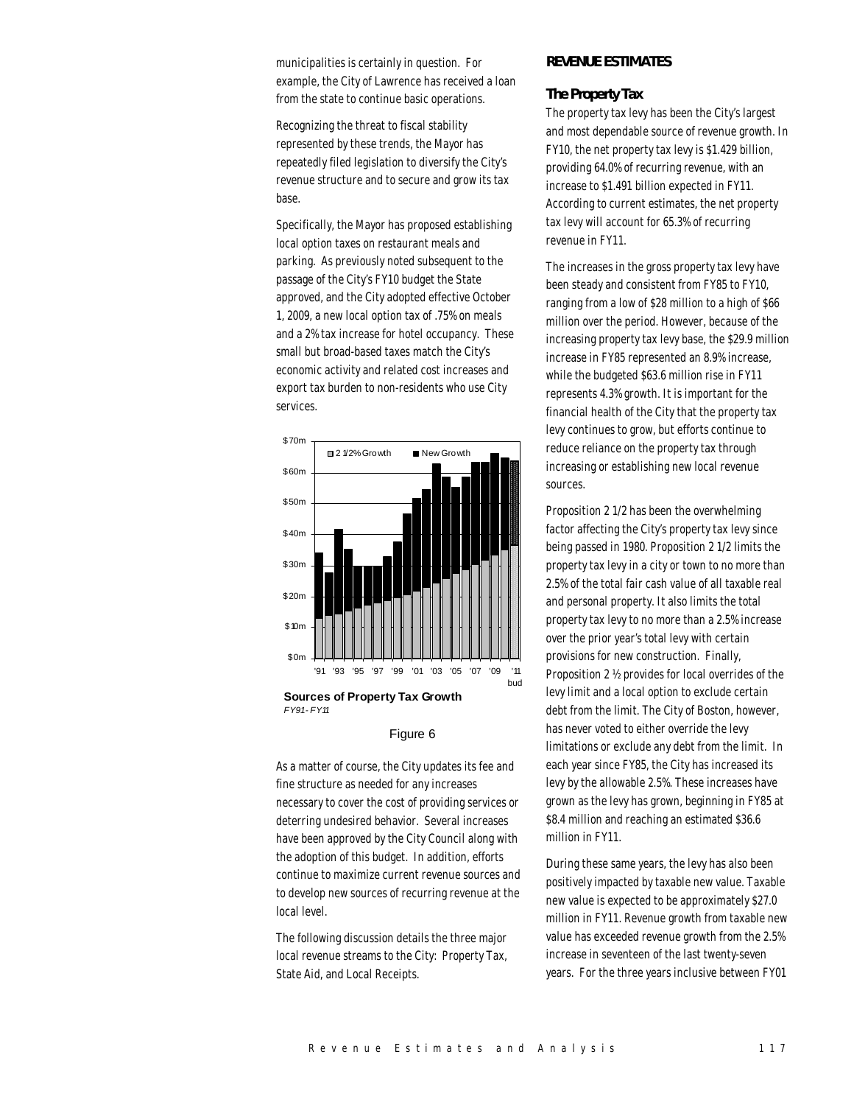municipalities is certainly in question. For example, the City of Lawrence has received a loan from the state to continue basic operations.

Recognizing the threat to fiscal stability represented by these trends, the Mayor has repeatedly filed legislation to diversify the City's revenue structure and to secure and grow its tax base.

Specifically, the Mayor has proposed establishing local option taxes on restaurant meals and parking. As previously noted subsequent to the passage of the City's FY10 budget the State approved, and the City adopted effective October 1, 2009, a new local option tax of .75% on meals and a 2% tax increase for hotel occupancy. These small but broad-based taxes match the City's economic activity and related cost increases and export tax burden to non-residents who use City services.



**Sources of Property Tax Growth** *FY91 - FY11*

#### Figure 6

As a matter of course, the City updates its fee and fine structure as needed for any increases necessary to cover the cost of providing services or deterring undesired behavior. Several increases have been approved by the City Council along with the adoption of this budget. In addition, efforts continue to maximize current revenue sources and to develop new sources of recurring revenue at the local level.

The following discussion details the three major local revenue streams to the City: Property Tax, State Aid, and Local Receipts.

# *REVENUE ESTIMATES*

#### *The Property Tax*

The property tax levy has been the City's largest and most dependable source of revenue growth. In FY10, the net property tax levy is \$1.429 billion, providing 64.0% of recurring revenue, with an increase to \$1.491 billion expected in FY11. According to current estimates, the net property tax levy will account for 65.3% of recurring revenue in FY11.

The increases in the gross property tax levy have been steady and consistent from FY85 to FY10, ranging from a low of \$28 million to a high of \$66 million over the period. However, because of the increasing property tax levy base, the \$29.9 million increase in FY85 represented an 8.9% increase, while the budgeted \$63.6 million rise in FY11 represents 4.3% growth. It is important for the financial health of the City that the property tax levy continues to grow, but efforts continue to reduce reliance on the property tax through increasing or establishing new local revenue sources.

Proposition 2 1/2 has been the overwhelming factor affecting the City's property tax levy since being passed in 1980. Proposition 2 1/2 limits the property tax levy in a city or town to no more than 2.5% of the total fair cash value of all taxable real and personal property. It also limits the total property tax levy to no more than a 2.5% increase over the prior year's total levy with certain provisions for new construction. Finally, Proposition 2 ½ provides for local overrides of the levy limit and a local option to exclude certain debt from the limit. The City of Boston, however, has never voted to either override the levy limitations or exclude any debt from the limit. In each year since FY85, the City has increased its levy by the allowable 2.5%. These increases have grown as the levy has grown, beginning in FY85 at \$8.4 million and reaching an estimated \$36.6 million in FY11.

During these same years, the levy has also been positively impacted by taxable new value. Taxable new value is expected to be approximately \$27.0 million in FY11. Revenue growth from taxable new value has exceeded revenue growth from the 2.5% increase in seventeen of the last twenty-seven years. For the three years inclusive between FY01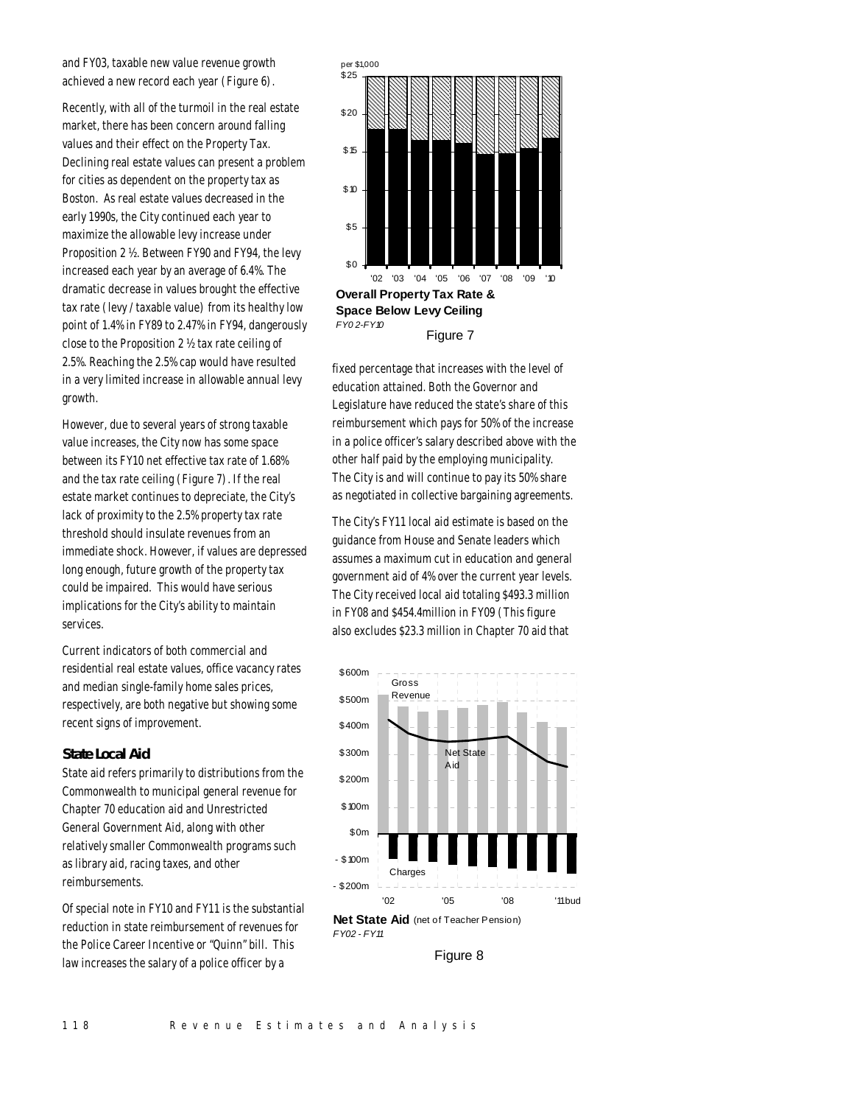and FY03, taxable new value revenue growth achieved a new record each year (Figure 6).

Recently, with all of the turmoil in the real estate market, there has been concern around falling values and their effect on the Property Tax. Declining real estate values can present a problem for cities as dependent on the property tax as Boston. As real estate values decreased in the early 1990s, the City continued each year to maximize the allowable levy increase under Proposition 2 ½. Between FY90 and FY94, the levy increased each year by an average of 6.4%. The dramatic decrease in values brought the effective tax rate (levy / taxable value) from its healthy low point of 1.4% in FY89 to 2.47% in FY94, dangerously close to the Proposition 2 ½ tax rate ceiling of 2.5%. Reaching the 2.5% cap would have resulted in a very limited increase in allowable annual levy growth.

However, due to several years of strong taxable value increases, the City now has some space between its FY10 net effective tax rate of 1.68% and the tax rate ceiling (Figure 7). If the real estate market continues to depreciate, the City's lack of proximity to the 2.5% property tax rate threshold should insulate revenues from an immediate shock. However, if values are depressed long enough, future growth of the property tax could be impaired. This would have serious implications for the City's ability to maintain services.

Current indicators of both commercial and residential real estate values, office vacancy rates and median single-family home sales prices, respectively, are both negative but showing some recent signs of improvement.

#### *State Local Aid*

State aid refers primarily to distributions from the Commonwealth to municipal general revenue for Chapter 70 education aid and Unrestricted General Government Aid, along with other relatively smaller Commonwealth programs such as library aid, racing taxes, and other reimbursements.

Of special note in FY10 and FY11 is the substantial reduction in state reimbursement of revenues for the Police Career Incentive or "Quinn" bill. This law increases the salary of a police officer by a



fixed percentage that increases with the level of education attained. Both the Governor and Legislature have reduced the state's share of this reimbursement which pays for 50% of the increase in a police officer's salary described above with the other half paid by the employing municipality. The City is and will continue to pay its 50% share as negotiated in collective bargaining agreements.

The City's FY11 local aid estimate is based on the guidance from House and Senate leaders which assumes a maximum cut in education and general government aid of 4% over the current year levels. The City received local aid totaling \$493.3 million in FY08 and \$454.4million in FY09 (This figure also excludes \$23.3 million in Chapter 70 aid that



Figure 8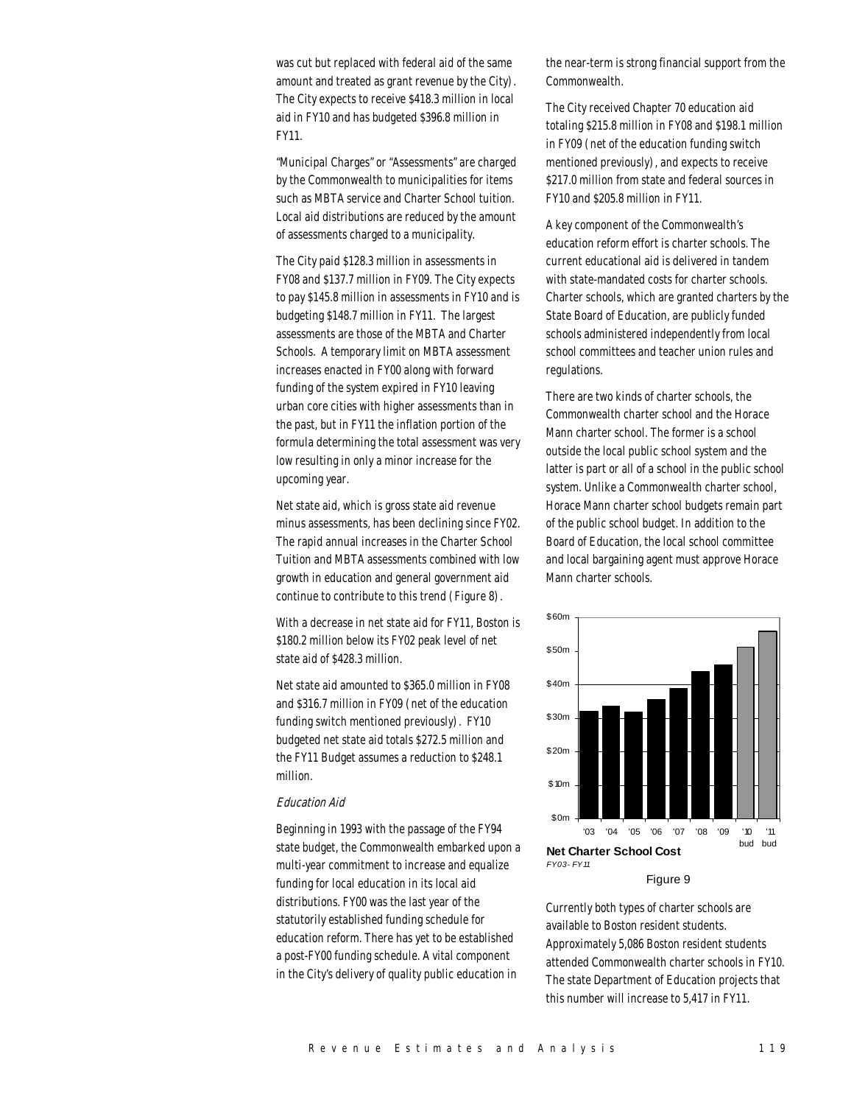was cut but replaced with federal aid of the same amount and treated as grant revenue by the City). The City expects to receive \$418.3 million in local aid in FY10 and has budgeted \$396.8 million in FY11.

"Municipal Charges" or "Assessments" are charged by the Commonwealth to municipalities for items such as MBTA service and Charter School tuition. Local aid distributions are reduced by the amount of assessments charged to a municipality.

The City paid \$128.3 million in assessments in FY08 and \$137.7 million in FY09. The City expects to pay \$145.8 million in assessments in FY10 and is budgeting \$148.7 million in FY11. The largest assessments are those of the MBTA and Charter Schools. A temporary limit on MBTA assessment increases enacted in FY00 along with forward funding of the system expired in FY10 leaving urban core cities with higher assessments than in the past, but in FY11 the inflation portion of the formula determining the total assessment was very low resulting in only a minor increase for the upcoming year.

Net state aid, which is gross state aid revenue minus assessments, has been declining since FY02. The rapid annual increases in the Charter School Tuition and MBTA assessments combined with low growth in education and general government aid continue to contribute to this trend (Figure 8).

With a decrease in net state aid for FY11, Boston is \$180.2 million below its FY02 peak level of net state aid of \$428.3 million.

Net state aid amounted to \$365.0 million in FY08 and \$316.7 million in FY09 (net of the education funding switch mentioned previously). FY10 budgeted net state aid totals \$272.5 million and the FY11 Budget assumes a reduction to \$248.1 million.

#### Education Aid

Beginning in 1993 with the passage of the FY94 state budget, the Commonwealth embarked upon a multi-year commitment to increase and equalize funding for local education in its local aid distributions. FY00 was the last year of the statutorily established funding schedule for education reform. There has yet to be established a post-FY00 funding schedule. A vital component in the City's delivery of quality public education in

the near-term is strong financial support from the Commonwealth.

The City received Chapter 70 education aid totaling \$215.8 million in FY08 and \$198.1 million in FY09 (net of the education funding switch mentioned previously), and expects to receive \$217.0 million from state and federal sources in FY10 and \$205.8 million in FY11.

A key component of the Commonwealth's education reform effort is charter schools. The current educational aid is delivered in tandem with state-mandated costs for charter schools. Charter schools, which are granted charters by the State Board of Education, are publicly funded schools administered independently from local school committees and teacher union rules and regulations.

There are two kinds of charter schools, the Commonwealth charter school and the Horace Mann charter school. The former is a school outside the local public school system and the latter is part or all of a school in the public school system. Unlike a Commonwealth charter school, Horace Mann charter school budgets remain part of the public school budget. In addition to the Board of Education, the local school committee and local bargaining agent must approve Horace Mann charter schools.



Figure 9

Currently both types of charter schools are available to Boston resident students. Approximately 5,086 Boston resident students attended Commonwealth charter schools in FY10. The state Department of Education projects that this number will increase to 5,417 in FY11.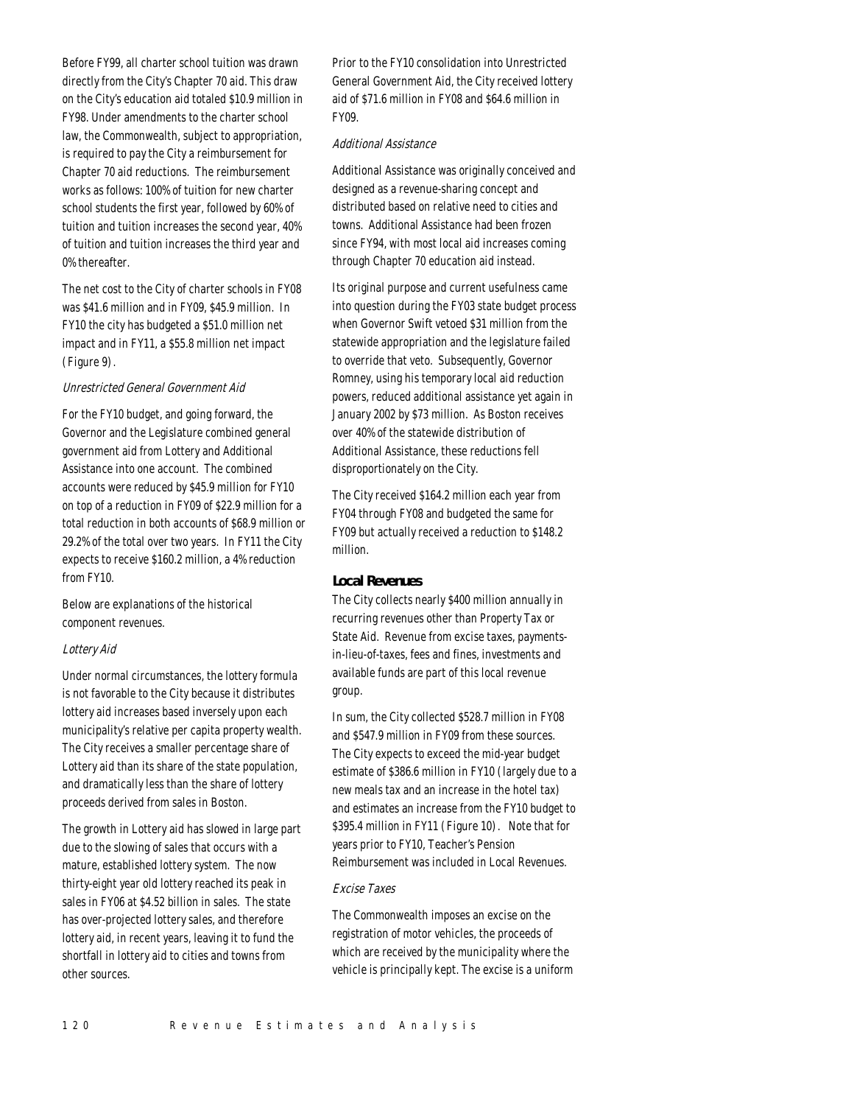Before FY99, all charter school tuition was drawn directly from the City's Chapter 70 aid. This draw on the City's education aid totaled \$10.9 million in FY98. Under amendments to the charter school law, the Commonwealth, subject to appropriation, is required to pay the City a reimbursement for Chapter 70 aid reductions. The reimbursement works as follows: 100% of tuition for new charter school students the first year, followed by 60% of tuition and tuition increases the second year, 40% of tuition and tuition increases the third year and 0% thereafter.

The net cost to the City of charter schools in FY08 was \$41.6 million and in FY09, \$45.9 million. In FY10 the city has budgeted a \$51.0 million net impact and in FY11, a \$55.8 million net impact (Figure 9).

## Unrestricted General Government Aid

For the FY10 budget, and going forward, the Governor and the Legislature combined general government aid from Lottery and Additional Assistance into one account. The combined accounts were reduced by \$45.9 million for FY10 on top of a reduction in FY09 of \$22.9 million for a total reduction in both accounts of \$68.9 million or 29.2% of the total over two years. In FY11 the City expects to receive \$160.2 million, a 4% reduction from FY10.

Below are explanations of the historical component revenues.

#### Lottery Aid

Under normal circumstances, the lottery formula is not favorable to the City because it distributes lottery aid increases based inversely upon each municipality's relative per capita property wealth. The City receives a smaller percentage share of Lottery aid than its share of the state population, and dramatically less than the share of lottery proceeds derived from sales in Boston.

The growth in Lottery aid has slowed in large part due to the slowing of sales that occurs with a mature, established lottery system. The now thirty-eight year old lottery reached its peak in sales in FY06 at \$4.52 billion in sales. The state has over-projected lottery sales, and therefore lottery aid, in recent years, leaving it to fund the shortfall in lottery aid to cities and towns from other sources.

Prior to the FY10 consolidation into Unrestricted General Government Aid, the City received lottery aid of \$71.6 million in FY08 and \$64.6 million in FY09.

#### Additional Assistance

Additional Assistance was originally conceived and designed as a revenue-sharing concept and distributed based on relative need to cities and towns. Additional Assistance had been frozen since FY94, with most local aid increases coming through Chapter 70 education aid instead.

Its original purpose and current usefulness came into question during the FY03 state budget process when Governor Swift vetoed \$31 million from the statewide appropriation and the legislature failed to override that veto. Subsequently, Governor Romney, using his temporary local aid reduction powers, reduced additional assistance yet again in January 2002 by \$73 million. As Boston receives over 40% of the statewide distribution of Additional Assistance, these reductions fell disproportionately on the City.

The City received \$164.2 million each year from FY04 through FY08 and budgeted the same for FY09 but actually received a reduction to \$148.2 million.

#### *Local Revenues*

The City collects nearly \$400 million annually in recurring revenues other than Property Tax or State Aid. Revenue from excise taxes, paymentsin-lieu-of-taxes, fees and fines, investments and available funds are part of this local revenue group.

In sum, the City collected \$528.7 million in FY08 and \$547.9 million in FY09 from these sources. The City expects to exceed the mid-year budget estimate of \$386.6 million in FY10 (largely due to a new meals tax and an increase in the hotel tax) and estimates an increase from the FY10 budget to \$395.4 million in FY11 (Figure 10). Note that for years prior to FY10, Teacher's Pension Reimbursement was included in Local Revenues.

# Excise Taxes

The Commonwealth imposes an excise on the registration of motor vehicles, the proceeds of which are received by the municipality where the vehicle is principally kept. The excise is a uniform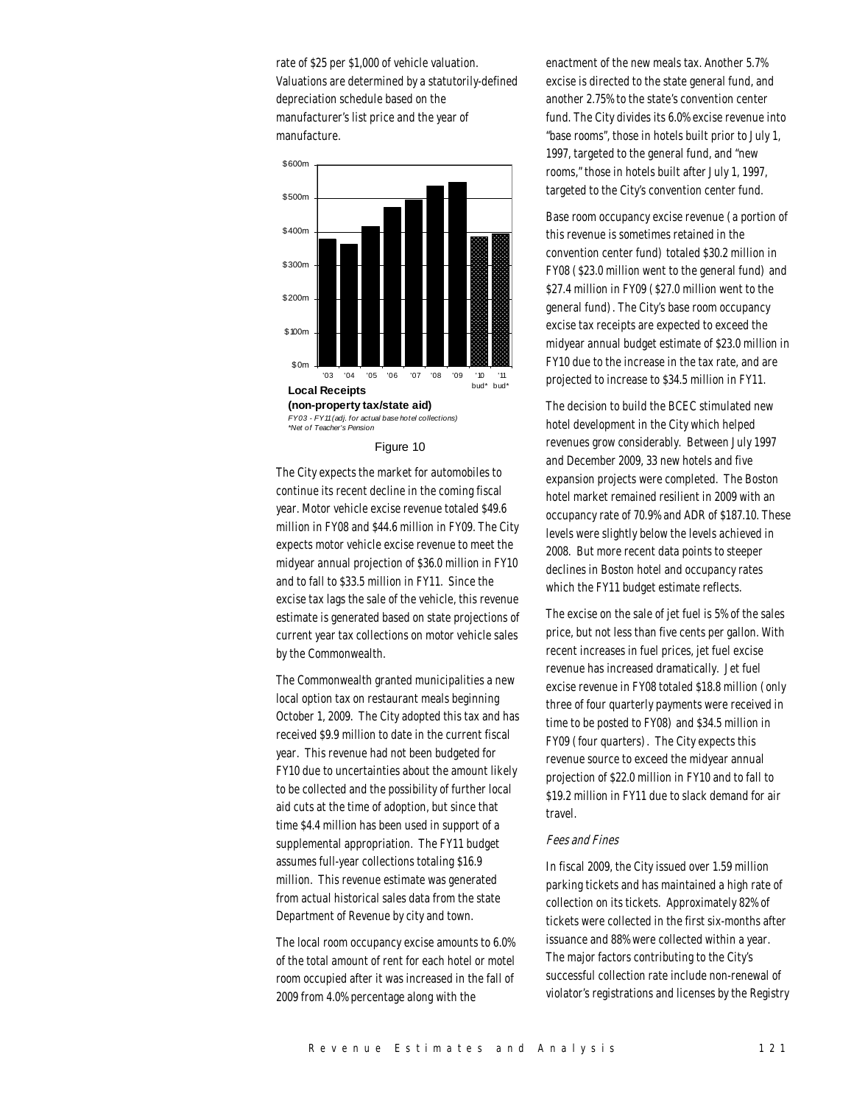rate of \$25 per \$1,000 of vehicle valuation. Valuations are determined by a statutorily-defined depreciation schedule based on the manufacturer's list price and the year of manufacture.



Figure 10

The City expects the market for automobiles to continue its recent decline in the coming fiscal year. Motor vehicle excise revenue totaled \$49.6 million in FY08 and \$44.6 million in FY09. The City expects motor vehicle excise revenue to meet the midyear annual projection of \$36.0 million in FY10 and to fall to \$33.5 million in FY11. Since the excise tax lags the sale of the vehicle, this revenue estimate is generated based on state projections of current year tax collections on motor vehicle sales by the Commonwealth.

The Commonwealth granted municipalities a new local option tax on restaurant meals beginning October 1, 2009. The City adopted this tax and has received \$9.9 million to date in the current fiscal year. This revenue had not been budgeted for FY10 due to uncertainties about the amount likely to be collected and the possibility of further local aid cuts at the time of adoption, but since that time \$4.4 million has been used in support of a supplemental appropriation. The FY11 budget assumes full-year collections totaling \$16.9 million. This revenue estimate was generated from actual historical sales data from the state Department of Revenue by city and town.

The local room occupancy excise amounts to 6.0% of the total amount of rent for each hotel or motel room occupied after it was increased in the fall of 2009 from 4.0% percentage along with the

enactment of the new meals tax. Another 5.7% excise is directed to the state general fund, and another 2.75% to the state's convention center fund. The City divides its 6.0% excise revenue into "base rooms", those in hotels built prior to July 1, 1997, targeted to the general fund, and "new rooms," those in hotels built after July 1, 1997, targeted to the City's convention center fund.

Base room occupancy excise revenue (a portion of this revenue is sometimes retained in the convention center fund) totaled \$30.2 million in FY08 (\$23.0 million went to the general fund) and \$27.4 million in FY09 (\$27.0 million went to the general fund). The City's base room occupancy excise tax receipts are expected to exceed the midyear annual budget estimate of \$23.0 million in FY10 due to the increase in the tax rate, and are projected to increase to \$34.5 million in FY11.

The decision to build the BCEC stimulated new hotel development in the City which helped revenues grow considerably. Between July 1997 and December 2009, 33 new hotels and five expansion projects were completed. The Boston hotel market remained resilient in 2009 with an occupancy rate of 70.9% and ADR of \$187.10. These levels were slightly below the levels achieved in 2008. But more recent data points to steeper declines in Boston hotel and occupancy rates which the FY11 budget estimate reflects.

The excise on the sale of jet fuel is 5% of the sales price, but not less than five cents per gallon. With recent increases in fuel prices, jet fuel excise revenue has increased dramatically. Jet fuel excise revenue in FY08 totaled \$18.8 million (only three of four quarterly payments were received in time to be posted to FY08) and \$34.5 million in FY09 (four quarters). The City expects this revenue source to exceed the midyear annual projection of \$22.0 million in FY10 and to fall to \$19.2 million in FY11 due to slack demand for air travel.

#### Fees and Fines

In fiscal 2009, the City issued over 1.59 million parking tickets and has maintained a high rate of collection on its tickets. Approximately 82% of tickets were collected in the first six-months after issuance and 88% were collected within a year. The major factors contributing to the City's successful collection rate include non-renewal of violator's registrations and licenses by the Registry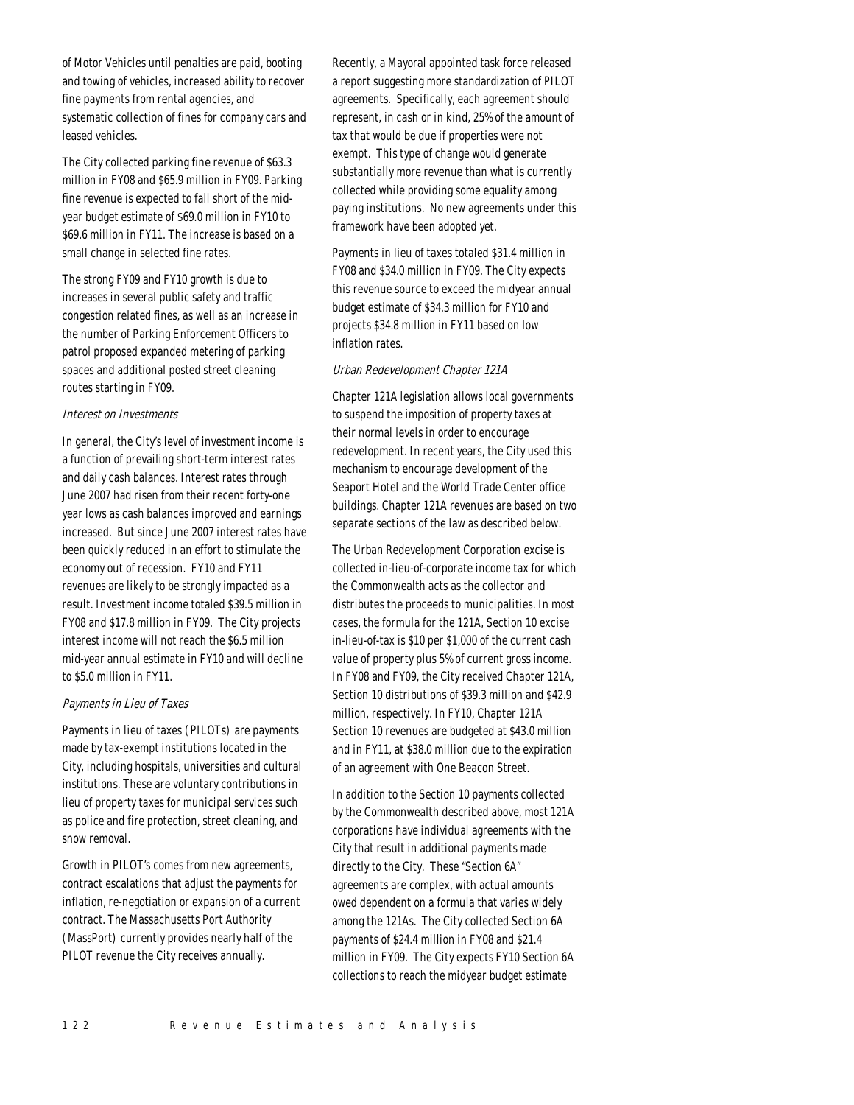of Motor Vehicles until penalties are paid, booting and towing of vehicles, increased ability to recover fine payments from rental agencies, and systematic collection of fines for company cars and leased vehicles.

The City collected parking fine revenue of \$63.3 million in FY08 and \$65.9 million in FY09. Parking fine revenue is expected to fall short of the midyear budget estimate of \$69.0 million in FY10 to \$69.6 million in FY11. The increase is based on a small change in selected fine rates.

The strong FY09 and FY10 growth is due to increases in several public safety and traffic congestion related fines, as well as an increase in the number of Parking Enforcement Officers to patrol proposed expanded metering of parking spaces and additional posted street cleaning routes starting in FY09.

## Interest on Investments

In general, the City's level of investment income is a function of prevailing short-term interest rates and daily cash balances. Interest rates through June 2007 had risen from their recent forty-one year lows as cash balances improved and earnings increased. But since June 2007 interest rates have been quickly reduced in an effort to stimulate the economy out of recession. FY10 and FY11 revenues are likely to be strongly impacted as a result. Investment income totaled \$39.5 million in FY08 and \$17.8 million in FY09. The City projects interest income will not reach the \$6.5 million mid-year annual estimate in FY10 and will decline to \$5.0 million in FY11.

# Payments in Lieu of Taxes

Payments in lieu of taxes (PILOTs) are payments made by tax-exempt institutions located in the City, including hospitals, universities and cultural institutions. These are voluntary contributions in lieu of property taxes for municipal services such as police and fire protection, street cleaning, and snow removal.

Growth in PILOT's comes from new agreements, contract escalations that adjust the payments for inflation, re-negotiation or expansion of a current contract. The Massachusetts Port Authority (MassPort) currently provides nearly half of the PILOT revenue the City receives annually.

Recently, a Mayoral appointed task force released a report suggesting more standardization of PILOT agreements. Specifically, each agreement should represent, in cash or in kind, 25% of the amount of tax that would be due if properties were not exempt. This type of change would generate substantially more revenue than what is currently collected while providing some equality among paying institutions. No new agreements under this framework have been adopted yet.

Payments in lieu of taxes totaled \$31.4 million in FY08 and \$34.0 million in FY09. The City expects this revenue source to exceed the midyear annual budget estimate of \$34.3 million for FY10 and projects \$34.8 million in FY11 based on low inflation rates.

# Urban Redevelopment Chapter 121A

Chapter 121A legislation allows local governments to suspend the imposition of property taxes at their normal levels in order to encourage redevelopment. In recent years, the City used this mechanism to encourage development of the Seaport Hotel and the World Trade Center office buildings. Chapter 121A revenues are based on two separate sections of the law as described below.

The Urban Redevelopment Corporation excise is collected in-lieu-of-corporate income tax for which the Commonwealth acts as the collector and distributes the proceeds to municipalities. In most cases, the formula for the 121A, Section 10 excise in-lieu-of-tax is \$10 per \$1,000 of the current cash value of property plus 5% of current gross income. In FY08 and FY09, the City received Chapter 121A, Section 10 distributions of \$39.3 million and \$42.9 million, respectively. In FY10, Chapter 121A Section 10 revenues are budgeted at \$43.0 million and in FY11, at \$38.0 million due to the expiration of an agreement with One Beacon Street.

In addition to the Section 10 payments collected by the Commonwealth described above, most 121A corporations have individual agreements with the City that result in additional payments made directly to the City. These "Section 6A" agreements are complex, with actual amounts owed dependent on a formula that varies widely among the 121As. The City collected Section 6A payments of \$24.4 million in FY08 and \$21.4 million in FY09. The City expects FY10 Section 6A collections to reach the midyear budget estimate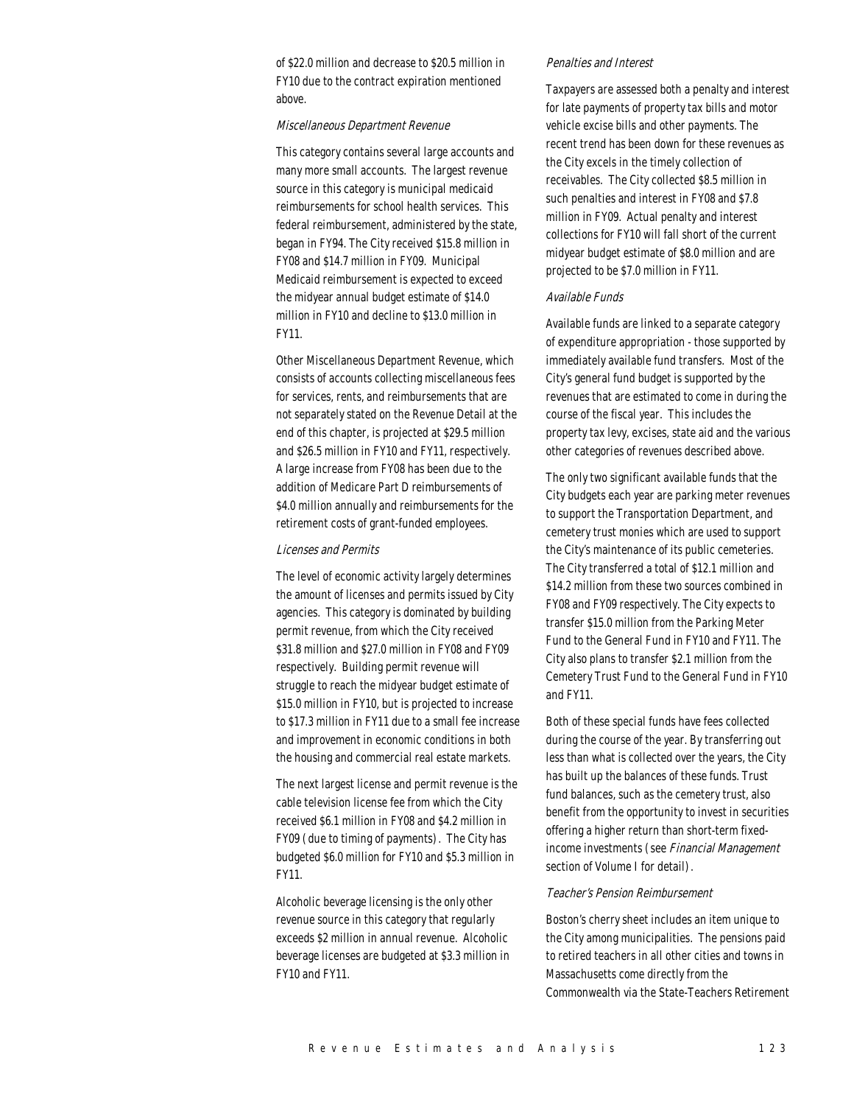of \$22.0 million and decrease to \$20.5 million in FY10 due to the contract expiration mentioned above.

#### Miscellaneous Department Revenue

This category contains several large accounts and many more small accounts. The largest revenue source in this category is municipal medicaid reimbursements for school health services. This federal reimbursement, administered by the state, began in FY94. The City received \$15.8 million in FY08 and \$14.7 million in FY09. Municipal Medicaid reimbursement is expected to exceed the midyear annual budget estimate of \$14.0 million in FY10 and decline to \$13.0 million in FY11.

Other Miscellaneous Department Revenue, which consists of accounts collecting miscellaneous fees for services, rents, and reimbursements that are not separately stated on the Revenue Detail at the end of this chapter, is projected at \$29.5 million and \$26.5 million in FY10 and FY11, respectively. A large increase from FY08 has been due to the addition of Medicare Part D reimbursements of \$4.0 million annually and reimbursements for the retirement costs of grant-funded employees.

#### Licenses and Permits

The level of economic activity largely determines the amount of licenses and permits issued by City agencies. This category is dominated by building permit revenue, from which the City received \$31.8 million and \$27.0 million in FY08 and FY09 respectively. Building permit revenue will struggle to reach the midyear budget estimate of \$15.0 million in FY10, but is projected to increase to \$17.3 million in FY11 due to a small fee increase and improvement in economic conditions in both the housing and commercial real estate markets.

The next largest license and permit revenue is the cable television license fee from which the City received \$6.1 million in FY08 and \$4.2 million in FY09 (due to timing of payments). The City has budgeted \$6.0 million for FY10 and \$5.3 million in FY11.

Alcoholic beverage licensing is the only other revenue source in this category that regularly exceeds \$2 million in annual revenue. Alcoholic beverage licenses are budgeted at \$3.3 million in FY10 and FY11.

#### Penalties and Interest

Taxpayers are assessed both a penalty and interest for late payments of property tax bills and motor vehicle excise bills and other payments. The recent trend has been down for these revenues as the City excels in the timely collection of receivables. The City collected \$8.5 million in such penalties and interest in FY08 and \$7.8 million in FY09. Actual penalty and interest collections for FY10 will fall short of the current midyear budget estimate of \$8.0 million and are projected to be \$7.0 million in FY11.

#### Available Funds

Available funds are linked to a separate category of expenditure appropriation - those supported by immediately available fund transfers. Most of the City's general fund budget is supported by the revenues that are estimated to come in during the course of the fiscal year. This includes the property tax levy, excises, state aid and the various other categories of revenues described above.

The only two significant available funds that the City budgets each year are parking meter revenues to support the Transportation Department, and cemetery trust monies which are used to support the City's maintenance of its public cemeteries. The City transferred a total of \$12.1 million and \$14.2 million from these two sources combined in FY08 and FY09 respectively. The City expects to transfer \$15.0 million from the Parking Meter Fund to the General Fund in FY10 and FY11. The City also plans to transfer \$2.1 million from the Cemetery Trust Fund to the General Fund in FY10 and FY11.

Both of these special funds have fees collected during the course of the year. By transferring out less than what is collected over the years, the City has built up the balances of these funds. Trust fund balances, such as the cemetery trust, also benefit from the opportunity to invest in securities offering a higher return than short-term fixedincome investments (see Financial Management section of Volume I for detail).

#### Teacher's Pension Reimbursement

Boston's cherry sheet includes an item unique to the City among municipalities. The pensions paid to retired teachers in all other cities and towns in Massachusetts come directly from the Commonwealth via the State-Teachers Retirement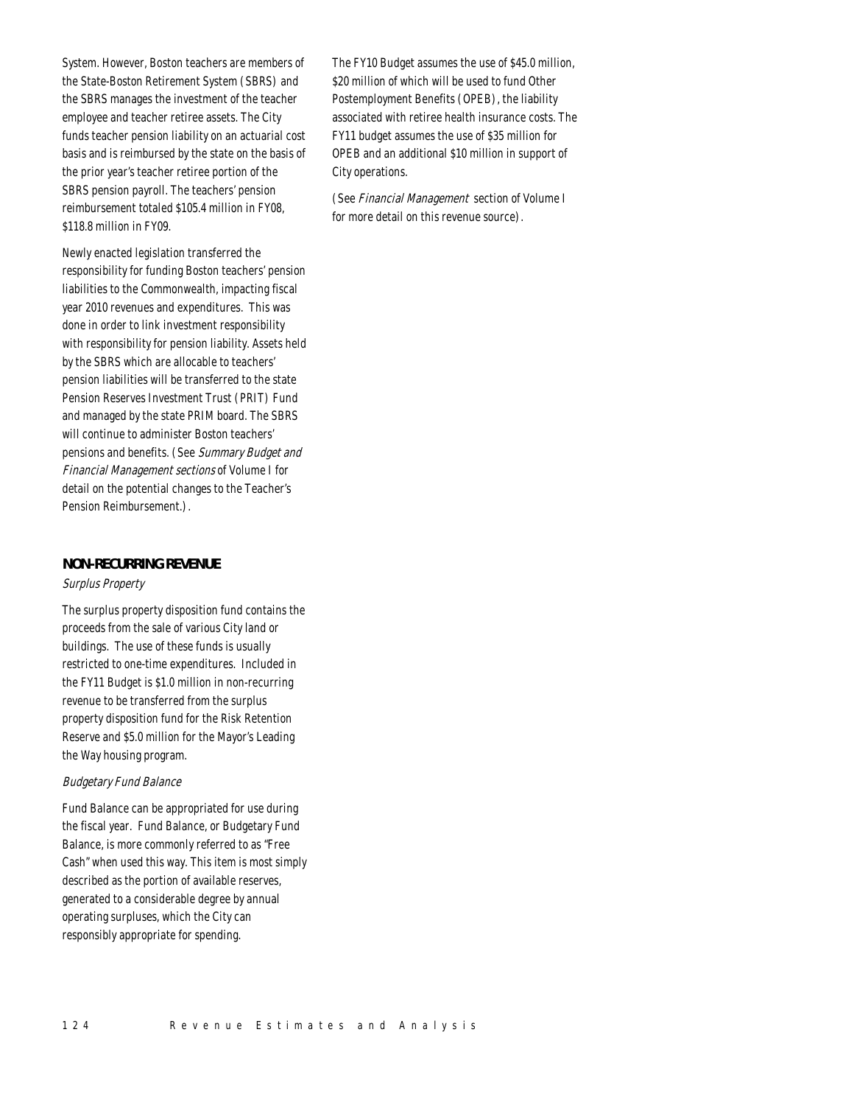System. However, Boston teachers are members of the State-Boston Retirement System (SBRS) and the SBRS manages the investment of the teacher employee and teacher retiree assets. The City funds teacher pension liability on an actuarial cost basis and is reimbursed by the state on the basis of the prior year's teacher retiree portion of the SBRS pension payroll. The teachers' pension reimbursement totaled \$105.4 million in FY08, \$118.8 million in FY09.

Newly enacted legislation transferred the responsibility for funding Boston teachers' pension liabilities to the Commonwealth, impacting fiscal year 2010 revenues and expenditures. This was done in order to link investment responsibility with responsibility for pension liability. Assets held by the SBRS which are allocable to teachers' pension liabilities will be transferred to the state Pension Reserves Investment Trust (PRIT) Fund and managed by the state PRIM board. The SBRS will continue to administer Boston teachers' pensions and benefits. (See Summary Budget and Financial Management sections of Volume I for detail on the potential changes to the Teacher's Pension Reimbursement.).

# *NON-RECURRING REVENUE*

## Surplus Property

The surplus property disposition fund contains the proceeds from the sale of various City land or buildings. The use of these funds is usually restricted to one-time expenditures. Included in the FY11 Budget is \$1.0 million in non-recurring revenue to be transferred from the surplus property disposition fund for the Risk Retention Reserve and \$5.0 million for the Mayor's Leading the Way housing program.

# Budgetary Fund Balance

Fund Balance can be appropriated for use during the fiscal year. Fund Balance, or Budgetary Fund Balance, is more commonly referred to as "Free Cash" when used this way. This item is most simply described as the portion of available reserves, generated to a considerable degree by annual operating surpluses, which the City can responsibly appropriate for spending.

The FY10 Budget assumes the use of \$45.0 million, \$20 million of which will be used to fund Other Postemployment Benefits (OPEB), the liability associated with retiree health insurance costs. The FY11 budget assumes the use of \$35 million for OPEB and an additional \$10 million in support of City operations.

(See Financial Management section of Volume I for more detail on this revenue source).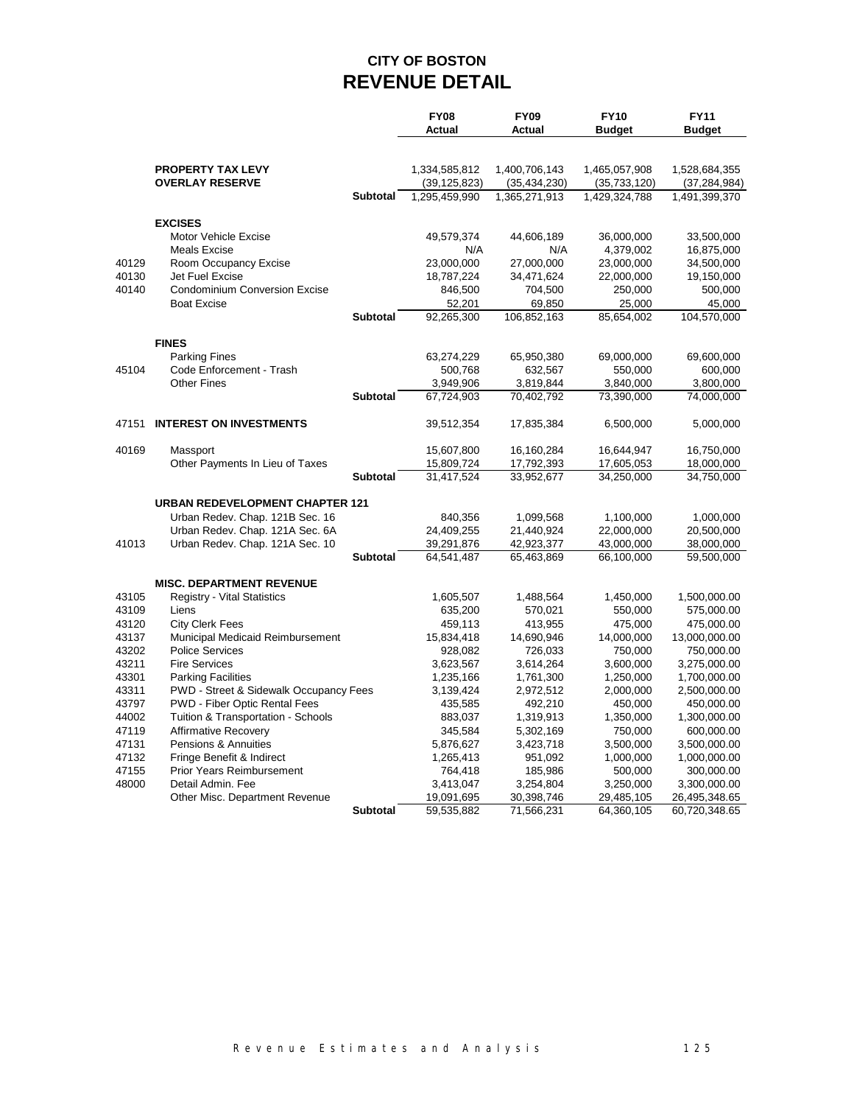# **CITY OF BOSTON REVENUE DETAIL**

|       |                                        |                 | <b>FY08</b><br>Actual | <b>FY09</b><br>Actual | <b>FY10</b><br><b>Budget</b> | <b>FY11</b><br><b>Budget</b> |
|-------|----------------------------------------|-----------------|-----------------------|-----------------------|------------------------------|------------------------------|
|       | <b>PROPERTY TAX LEVY</b>               |                 | 1,334,585,812         | 1,400,706,143         | 1,465,057,908                | 1,528,684,355                |
|       | <b>OVERLAY RESERVE</b>                 |                 | (39, 125, 823)        | (35, 434, 230)        | (35, 733, 120)               | (37, 284, 984)               |
|       |                                        | <b>Subtotal</b> | 1,295,459,990         | 1,365,271,913         | 1,429,324,788                | 1,491,399,370                |
|       | <b>EXCISES</b>                         |                 |                       |                       |                              |                              |
|       | Motor Vehicle Excise                   |                 | 49,579,374            | 44,606,189            | 36,000,000                   | 33,500,000                   |
|       | <b>Meals Excise</b>                    |                 | N/A                   | N/A                   | 4,379,002                    | 16,875,000                   |
| 40129 | Room Occupancy Excise                  |                 | 23,000,000            | 27,000,000            | 23,000,000                   | 34,500,000                   |
| 40130 | Jet Fuel Excise                        |                 | 18,787,224            | 34,471,624            | 22,000,000                   | 19,150,000                   |
| 40140 | <b>Condominium Conversion Excise</b>   |                 | 846,500               | 704,500               | 250,000                      | 500,000                      |
|       | <b>Boat Excise</b>                     |                 | 52,201                | 69,850                | 25,000                       | 45,000                       |
|       |                                        | <b>Subtotal</b> | 92,265,300            | 106,852,163           | 85,654,002                   | 104,570,000                  |
|       | <b>FINES</b>                           |                 |                       |                       |                              |                              |
|       | <b>Parking Fines</b>                   |                 | 63,274,229            | 65,950,380            | 69,000,000                   | 69,600,000                   |
| 45104 | Code Enforcement - Trash               |                 | 500,768               | 632,567               | 550,000                      | 600,000                      |
|       | <b>Other Fines</b>                     |                 | 3,949,906             | 3,819,844             | 3,840,000                    | 3,800,000                    |
|       |                                        | <b>Subtotal</b> | 67,724,903            | 70,402,792            | 73,390,000                   | 74,000,000                   |
| 47151 | <b>INTEREST ON INVESTMENTS</b>         |                 | 39,512,354            | 17,835,384            | 6,500,000                    | 5,000,000                    |
| 40169 | Massport                               |                 | 15,607,800            | 16,160,284            | 16,644,947                   | 16,750,000                   |
|       | Other Payments In Lieu of Taxes        |                 | 15,809,724            | 17,792,393            | 17,605,053                   | 18,000,000                   |
|       |                                        | <b>Subtotal</b> | 31,417,524            | 33,952,677            | 34,250,000                   | 34,750,000                   |
|       | <b>URBAN REDEVELOPMENT CHAPTER 121</b> |                 |                       |                       |                              |                              |
|       | Urban Redev. Chap. 121B Sec. 16        |                 | 840,356               | 1,099,568             | 1,100,000                    | 1,000,000                    |
|       | Urban Redev. Chap. 121A Sec. 6A        |                 | 24,409,255            | 21,440,924            | 22,000,000                   | 20,500,000                   |
| 41013 | Urban Redev. Chap. 121A Sec. 10        |                 | 39,291,876            | 42,923,377            | 43,000,000                   | 38,000,000                   |
|       |                                        | <b>Subtotal</b> | 64,541,487            | 65,463,869            | 66,100,000                   | 59,500,000                   |
|       | <b>MISC. DEPARTMENT REVENUE</b>        |                 |                       |                       |                              |                              |
| 43105 | <b>Registry - Vital Statistics</b>     |                 | 1,605,507             | 1,488,564             | 1,450,000                    | 1,500,000.00                 |
| 43109 | Liens                                  |                 | 635,200               | 570,021               | 550,000                      | 575,000.00                   |
| 43120 | <b>City Clerk Fees</b>                 |                 | 459,113               | 413,955               | 475,000                      | 475,000.00                   |
| 43137 | Municipal Medicaid Reimbursement       |                 | 15,834,418            | 14,690,946            | 14,000,000                   | 13,000,000.00                |
| 43202 | <b>Police Services</b>                 |                 | 928,082               | 726,033               | 750,000                      | 750,000.00                   |
| 43211 | <b>Fire Services</b>                   |                 | 3,623,567             | 3,614,264             | 3,600,000                    | 3,275,000.00                 |
| 43301 | <b>Parking Facilities</b>              |                 | 1,235,166             | 1,761,300             | 1,250,000                    | 1,700,000.00                 |
| 43311 | PWD - Street & Sidewalk Occupancy Fees |                 | 3,139,424             | 2,972,512             | 2,000,000                    | 2,500,000.00                 |
| 43797 | PWD - Fiber Optic Rental Fees          |                 | 435,585               | 492,210               | 450,000                      | 450,000.00                   |
| 44002 | Tuition & Transportation - Schools     |                 | 883,037               | 1,319,913             | 1,350,000                    | 1,300,000.00                 |
| 47119 | <b>Affirmative Recovery</b>            |                 | 345,584               | 5,302,169             | 750,000                      | 600,000.00                   |
| 47131 | Pensions & Annuities                   |                 | 5,876,627             | 3,423,718             | 3,500,000                    | 3,500,000.00                 |
| 47132 | Fringe Benefit & Indirect              |                 | 1,265,413             | 951,092               | 1,000,000                    | 1,000,000.00                 |
| 47155 | Prior Years Reimbursement              |                 | 764,418               | 185,986               | 500,000                      | 300,000.00                   |
| 48000 | Detail Admin, Fee                      |                 | 3,413,047             | 3,254,804             | 3,250,000                    | 3,300,000.00                 |
|       | Other Misc. Department Revenue         |                 | 19,091,695            | 30,398,746            | 29,485,105                   | 26,495,348.65                |
|       |                                        | <b>Subtotal</b> | 59,535,882            | 71,566,231            | 64,360,105                   | 60,720,348.65                |